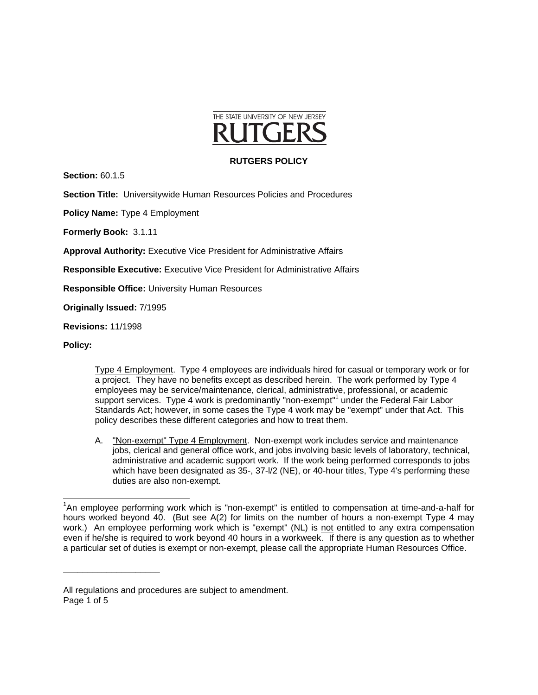

## **RUTGERS POLICY**

**Section:** 60.1.5

**Section Title:** Universitywide Human Resources Policies and Procedures

**Policy Name:** Type 4 Employment

**Formerly Book:** 3.1.11

**Approval Authority:** Executive Vice President for Administrative Affairs

**Responsible Executive:** Executive Vice President for Administrative Affairs

**Responsible Office:** University Human Resources

**Originally Issued:** 7/1995

\_\_\_\_\_\_\_\_\_\_\_\_\_\_\_\_\_\_\_\_

**Revisions:** 11/1998

**Policy:**

 Type 4 Employment. Type 4 employees are individuals hired for casual or temporary work or for a project. They have no benefits except as described herein. The work performed by Type 4 employees may be service/maintenance, clerical, administrative, professional, or academic support services. Type 4 work is predominantly "non-exempt"<sup>1</sup> under the Federal Fair Labor Standards Act; however, in some cases the Type 4 work may be "exempt" under that Act. This policy describes these different categories and how to treat them.

A. "Non-exempt" Type 4 Employment. Non-exempt work includes service and maintenance jobs, clerical and general office work, and jobs involving basic levels of laboratory, technical, administrative and academic support work. If the work being performed corresponds to jobs which have been designated as 35-, 37- $1/2$  (NE), or 40-hour titles, Type 4's performing these duties are also non-exempt.

l <sup>1</sup>An employee performing work which is "non-exempt" is entitled to compensation at time-and-a-half for hours worked beyond 40. (But see A(2) for limits on the number of hours a non-exempt Type 4 may work.) An employee performing work which is "exempt" (NL) is not entitled to any extra compensation even if he/she is required to work beyond 40 hours in a workweek. If there is any question as to whether a particular set of duties is exempt or non-exempt, please call the appropriate Human Resources Office.

All regulations and procedures are subject to amendment. Page 1 of 5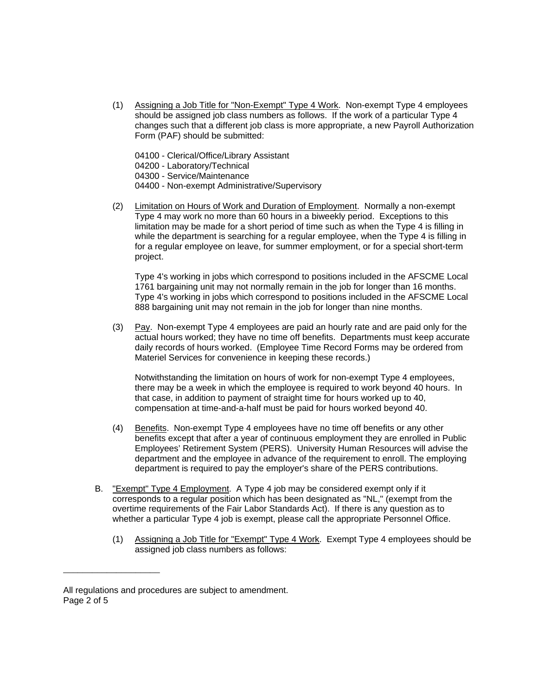- (1) Assigning a Job Title for "Non-Exempt" Type 4 Work. Non-exempt Type 4 employees should be assigned job class numbers as follows. If the work of a particular Type 4 changes such that a different job class is more appropriate, a new Payroll Authorization Form (PAF) should be submitted:
	- 04100 Clerical/Office/Library Assistant

04200 - Laboratory/Technical

04300 - Service/Maintenance

- 04400 Non-exempt Administrative/Supervisory
- (2) Limitation on Hours of Work and Duration of Employment. Normally a non-exempt Type 4 may work no more than 60 hours in a biweekly period. Exceptions to this limitation may be made for a short period of time such as when the Type 4 is filling in while the department is searching for a regular employee, when the Type 4 is filling in for a regular employee on leave, for summer employment, or for a special short-term project.

Type 4's working in jobs which correspond to positions included in the AFSCME Local 1761 bargaining unit may not normally remain in the job for longer than 16 months. Type 4's working in jobs which correspond to positions included in the AFSCME Local 888 bargaining unit may not remain in the job for longer than nine months.

(3) Pay. Non-exempt Type 4 employees are paid an hourly rate and are paid only for the actual hours worked; they have no time off benefits. Departments must keep accurate daily records of hours worked. (Employee Time Record Forms may be ordered from Materiel Services for convenience in keeping these records.)

Notwithstanding the limitation on hours of work for non-exempt Type 4 employees, there may be a week in which the employee is required to work beyond 40 hours. In that case, in addition to payment of straight time for hours worked up to 40, compensation at time-and-a-half must be paid for hours worked beyond 40.

- (4) Benefits. Non-exempt Type 4 employees have no time off benefits or any other benefits except that after a year of continuous employment they are enrolled in Public Employees' Retirement System (PERS). University Human Resources will advise the department and the employee in advance of the requirement to enroll. The employing department is required to pay the employer's share of the PERS contributions.
- B. "Exempt" Type 4 Employment. A Type 4 job may be considered exempt only if it corresponds to a regular position which has been designated as "NL," (exempt from the overtime requirements of the Fair Labor Standards Act). If there is any question as to whether a particular Type 4 job is exempt, please call the appropriate Personnel Office.
	- (1) Assigning a Job Title for "Exempt" Type 4 Work. Exempt Type 4 employees should be assigned job class numbers as follows:

\_\_\_\_\_\_\_\_\_\_\_\_\_\_\_\_\_\_\_\_

All regulations and procedures are subject to amendment. Page 2 of 5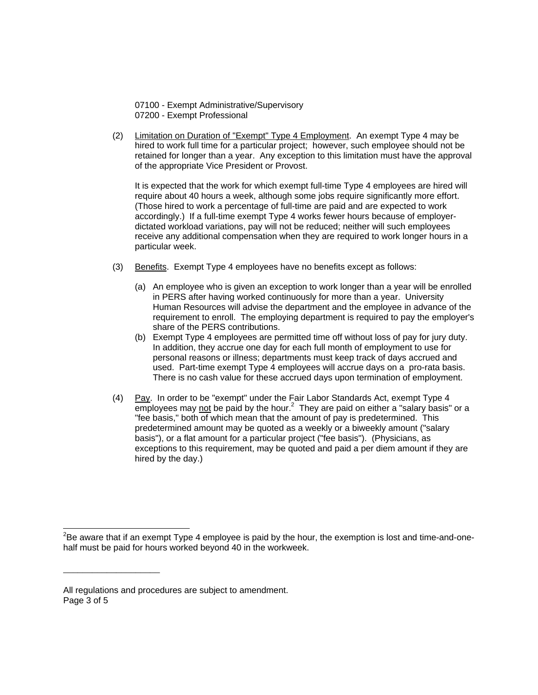07100 - Exempt Administrative/Supervisory 07200 - Exempt Professional

(2) Limitation on Duration of "Exempt" Type 4 Employment. An exempt Type 4 may be hired to work full time for a particular project; however, such employee should not be retained for longer than a year. Any exception to this limitation must have the approval of the appropriate Vice President or Provost.

It is expected that the work for which exempt full-time Type 4 employees are hired will require about 40 hours a week, although some jobs require significantly more effort. (Those hired to work a percentage of full-time are paid and are expected to work accordingly.) If a full-time exempt Type 4 works fewer hours because of employerdictated workload variations, pay will not be reduced; neither will such employees receive any additional compensation when they are required to work longer hours in a particular week.

- (3) Benefits. Exempt Type 4 employees have no benefits except as follows:
	- (a) An employee who is given an exception to work longer than a year will be enrolled in PERS after having worked continuously for more than a year. University Human Resources will advise the department and the employee in advance of the requirement to enroll. The employing department is required to pay the employer's share of the PERS contributions.
	- (b) Exempt Type 4 employees are permitted time off without loss of pay for jury duty. In addition, they accrue one day for each full month of employment to use for personal reasons or illness; departments must keep track of days accrued and used. Part-time exempt Type 4 employees will accrue days on a pro-rata basis. There is no cash value for these accrued days upon termination of employment.
- (4) Pay. In order to be "exempt" under the Fair Labor Standards Act, exempt Type 4  $\overline{\text{emp}}$ loyees may not be paid by the hour.<sup>2</sup> They are paid on either a "salary basis" or a "fee basis," both of which mean that the amount of pay is predetermined. This predetermined amount may be quoted as a weekly or a biweekly amount ("salary basis"), or a flat amount for a particular project ("fee basis"). (Physicians, as exceptions to this requirement, may be quoted and paid a per diem amount if they are hired by the day.)

\_\_\_\_\_\_\_\_\_\_\_\_\_\_\_\_\_\_\_\_

-

 $^{2}$ Be aware that if an exempt Type 4 employee is paid by the hour, the exemption is lost and time-and-onehalf must be paid for hours worked beyond 40 in the workweek.

All regulations and procedures are subject to amendment. Page 3 of 5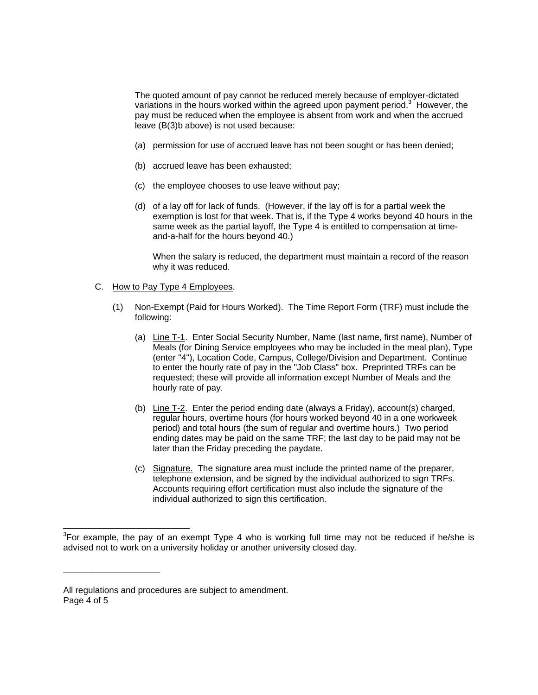The quoted amount of pay cannot be reduced merely because of employer-dictated variations in the hours worked within the agreed upon payment period.<sup>3</sup> However, the pay must be reduced when the employee is absent from work and when the accrued leave (B(3)b above) is not used because:

- (a) permission for use of accrued leave has not been sought or has been denied;
- (b) accrued leave has been exhausted;
- (c) the employee chooses to use leave without pay;
- (d) of a lay off for lack of funds. (However, if the lay off is for a partial week the exemption is lost for that week. That is, if the Type 4 works beyond 40 hours in the same week as the partial layoff, the Type 4 is entitled to compensation at timeand-a-half for the hours beyond 40.)

When the salary is reduced, the department must maintain a record of the reason why it was reduced.

- C. How to Pay Type 4 Employees.
	- (1) Non-Exempt (Paid for Hours Worked). The Time Report Form (TRF) must include the following:
		- (a) Line T-1. Enter Social Security Number, Name (last name, first name), Number of Meals (for Dining Service employees who may be included in the meal plan), Type (enter "4"), Location Code, Campus, College/Division and Department. Continue to enter the hourly rate of pay in the "Job Class" box. Preprinted TRFs can be requested; these will provide all information except Number of Meals and the hourly rate of pay.
		- (b) Line T-2. Enter the period ending date (always a Friday), account(s) charged, regular hours, overtime hours (for hours worked beyond 40 in a one workweek period) and total hours (the sum of regular and overtime hours.) Two period ending dates may be paid on the same TRF; the last day to be paid may not be later than the Friday preceding the paydate.
		- (c) Signature. The signature area must include the printed name of the preparer, telephone extension, and be signed by the individual authorized to sign TRFs. Accounts requiring effort certification must also include the signature of the individual authorized to sign this certification.

\_\_\_\_\_\_\_\_\_\_\_\_\_\_\_\_\_\_\_\_

l

 $3$ For example, the pay of an exempt Type 4 who is working full time may not be reduced if he/she is advised not to work on a university holiday or another university closed day.

All regulations and procedures are subject to amendment. Page 4 of 5